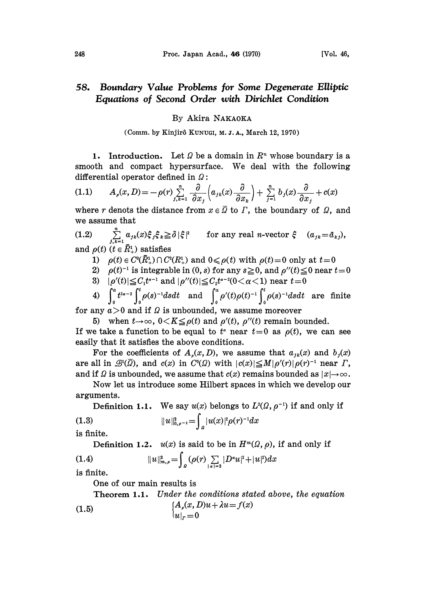## 58. Boundary Value Problems for Some Degenerate Elliptic Equations of Second Order with Dirichlet Condition

## By Akira NAKAOKA

(Comm. by Kinjir5 KUNUGI, M. J. A., March 12, 1970)

1. Introduction. Let  $\Omega$  be a domain in  $\mathbb{R}^n$  whose boundary is a smooth and compact hypersurface. We deal with the following differential operator defined in  $\Omega$ :

$$
(1.1) \qquad A_{\rho}(x,D) = -\rho(r) \sum_{j,k=1}^{n} \frac{\partial}{\partial x_j} \left( a_{jk}(x) \frac{\partial}{\partial x_k} \right) + \sum_{j=1}^{n} b_j(x) \frac{\partial}{\partial x_j} + c(x)
$$

where r denots the distance from  $x \in \Omega$  to  $\Gamma$ , the boundary of  $\Omega$ , and we assume that

(1.2)  $\sum_{j,k=1}^{\infty} a_{jk}(x)\xi_j\xi_k \geq \delta |\xi|^2$  for any real *n*-vector  $\xi$   $(a_{jk} = a_{kj}),$ and  $\rho(t)$  ( $t \in \overline{R}_{+}^{1}$ ) satisfies

- 1)  $\rho(t) \in C^0(\overline{R}_+^1) \cap C^2(R_+^1)$  and  $0 \leq \rho(t)$  with  $\rho(t)=0$  only at  $t=0$
- 2)  $\rho(t)^{-1}$  is integrable in (0, s) for any  $s \ge 0$ , and  $\rho''(t) \le 0$  near  $t=0$ <br>3)  $|\rho'(t)| \le C_1 t^{a-1}$  and  $|\rho''(t)| \le C_2 t^{a-2} (0 < \alpha < 1)$  near  $t=0$
- 3)  $|\rho'(t)| \leq C_1 t^{\alpha-1}$  and  $|\rho''(t)| \leq C_2 t^{\alpha-2} (0 < \alpha < 1)$  near  $t = 0$

3)  $|\rho'(t)| \leq C_1 t^{\alpha-1}$  and  $|\rho''(t)| \leq C_2 t^{\alpha-2} (0 < \alpha < 1)$  near  $t=0$ <br>
4)  $\int_0^a t^{2\alpha-2} \int_0^t \rho(s)^{-1} ds dt$  and  $\int_0^a \rho'(t) \rho(t)^{-1} \int_0^t \rho(s)^{-1} ds dt$  are finite<br>
any  $a > 0$  and if  $\Omega$  is unbounded, we assume moreover for any  $a > 0$  and if  $\Omega$  is unbounded, we assume moreover

5) when  $t\rightarrow\infty$ ,  $0 < K \leq \rho(t)$  and  $\rho'(t)$ ,  $\rho''(t)$  remain bounded.

If we take a function to be equal to  $t^*$  near  $t=0$  as  $\rho(t)$ , we can see easily that it satisfies the above conditions.

For the coefficients of  $A_{\rho}(x, D)$ , we assume that  $a_{jk}(x)$  and  $b_j(x)$ are all in  $\mathcal{B}^1(\overline{\Omega})$ , and  $c(x)$  in  $C^0(\Omega)$  with  $|c(x)| \leq M|\rho'(r)|\rho(r)^{-1}$  near  $\Gamma$ , are all in  $\mathcal{B}^{\mathsf{I}}(\varOmega)$ , and  $c(x)$  in  $C^{\mathsf{I}}(\varOmega)$  with  $|c(x)|$   $\leq$   $M|\rho'(r)|\rho(r)^{-1}$  near  $\varGamma$ , and if  $\varOmega$  is unbounded, we assume that  $c(x)$  remains bounded as  $|x|{\rightarrow} \infty$ .

Now let us introduce some Hilbert spaces in which we develop our arguments.

**Definition 1.1.** We say 
$$
u(x)
$$
 belongs to  $L^2(\Omega, \rho^{-1})$  if and only if  
(1.3)  $||u||_{0,\rho^{-1}}^2 = \int_{\Omega} |u(x)|^2 \rho(r)^{-1} dx$ 

is finite.

Definition 1.2.  $u(x)$  is said to be in  $H^m(\Omega, \rho)$ , if and only if

(1.4) 
$$
||u||_{m,\rho}^{2} = \int_{a} (\rho(r) \sum_{|\alpha|=2} |D^{\alpha}u|^{2} + |u|^{2}) dx
$$

is finite.

One of our main results is

**Theorem 1.1.** Under the conditions stated above, the equation  
(1.5) 
$$
[A_{\rho}(x, D)u + \lambda u = f(x)
$$

$$
|u|_{r} = 0
$$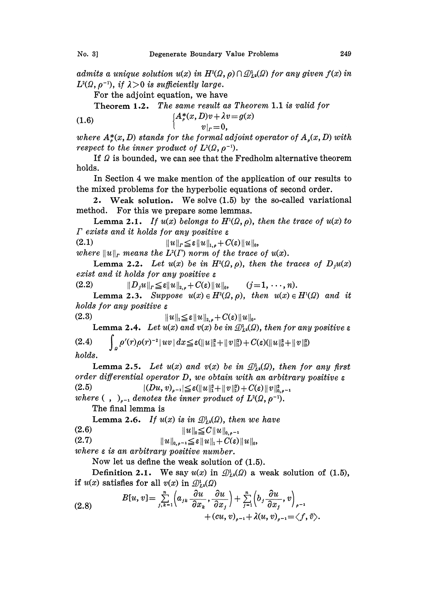admits a unique solution  $u(x)$  in  $H^2(\Omega, \rho) \cap \mathcal{D}_{L^2}^1(\Omega)$  for any given  $f(x)$  in  $L^2(\Omega, \rho^{-1})$ , if  $\lambda > 0$  is sufficiently large.

For the adjoint equation, we have

Theorem 1.2. The same result as Theorem 1.1 is valid for

(1.6)  ${A}^{*}_{\rho}(x, D)v + \lambda v = g(x)$  $v|_r=0$ ,

where  $A^*_s(x, D)$  stands for the formal adjoint operator of  $A_s(x, D)$  with respect to the inner product of  $L^2(\Omega, \rho^{-1})$ .

If  $\Omega$  is bounded, we can see that the Fredholm alternative theorem holds.

In Section 4 we make mention of the application of our results to the mixed problems for the hyperbolic equations of second order.

2. Weak solution. We solve (1.5) by the so-called variational method. For this we prepare some lemmas.

Lemma 2.1. If  $u(x)$  belongs to  $H<sup>1</sup>(\Omega, \rho)$ , then the trace of  $u(x)$  to  $\Gamma$  exists and it holds for any positive  $\varepsilon$ 

(2.1)  $||u||_r \leq \varepsilon ||u||_{1,\rho} + C(\varepsilon)||u||_0,$ 

where  $||u||_r$  means the  $L^2(\Gamma)$  norm of the trace of  $u(x)$ .

Lemma 2.2. Let  $u(x)$  be in  $H^2(\Omega, \rho)$ , then the traces of  $D_iu(x)$ exist and it holds for any positive  $\varepsilon$ 

(2.2)  $||D_j u||_r \leq \varepsilon ||u||_{2,\rho} + C(\varepsilon) ||u||_0, \qquad (j=1, \dots, n).$ 

Lemma 2.3. Suppose  $u(x) \in H^2(\Omega, \rho)$ , then  $u(x) \in H^1(\Omega)$  and it holds for any positive  $\varepsilon$ 

 $||u||_1 \leq \varepsilon ||u||_{2,\rho} + C(\varepsilon)||u||_0.$ 

Lemma 2.4. Let  $u(x)$  and  $v(x)$  be in  $\mathcal{D}_{L^2}^1(\Omega)$ , then for any positive  $\varepsilon$ (2.4)  $\int_{\mathbb{R}^n} \rho'(r)\rho(r)^{-2} |uv| dx \leq \varepsilon(||u||_1^2 + ||v||_1^2) + C(\varepsilon)(||u||_0^2 + ||v||_0^2)$ 

holds.

 $(2.3)$ 

Lemma 2.5. Let  $u(x)$  and  $v(x)$  be in  $\mathcal{D}_{L^2}^1(\Omega)$ , then for any first order differential operator  $D$ , we obtain with an arbitrary positive  $\varepsilon$  $(2.5)$  $|(Du, v)_{\rho-1}| \leq \varepsilon (||u||_1^2 + ||v||_1^2) + C(\varepsilon) ||v||_{0,\rho-1}^2$ 

where  $( , )_{n=1}$  denotes the inner product of  $L^{2}(\Omega, \rho^{-1})$ .

The final lemma is

Lemma 2.6. If  $u(x)$  is in  $\mathcal{D}_{1,2}^1(\Omega)$ , then we have

(2.6)  $||u||_0 \leq C ||u||_{0,q^{-1}}$ 

(2.7)  $||u||_{0,\rho^{-1}} \leq \varepsilon ||u||_1 + C(\varepsilon)||u||_0,$ 

where <sup>e</sup> is an arbitrary positive number.

Now let us define the weak solution of (1.5).

Definition 2.1. We say  $u(x)$  in  $\mathcal{D}_{L^2}^1(\Omega)$  a weak solution of (1.5), if  $u(x)$  satisfies for all  $v(x)$  in  $\mathcal{D}_{L^2}^1(\Omega)$ 

(2.8) 
$$
B[u, v] = \sum_{j,k=1}^{n} \left( a_{jk} \frac{\partial u}{\partial x_k}, \frac{\partial u}{\partial x_j} \right) + \sum_{j=1}^{n} \left( b_j \frac{\partial u}{\partial x_j}, v \right)_{\rho^{-1}} + (cu, v)_{\rho^{-1}} + \lambda (u, v)_{\rho^{-1}} = \langle f, \bar{v} \rangle.
$$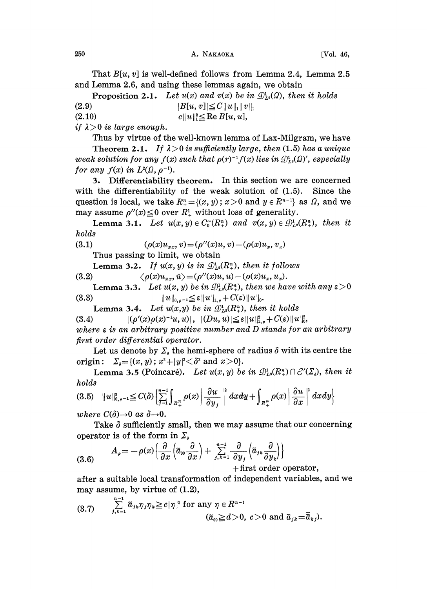That  $B[u, v]$  is well-defined follows from Lemma 2.4, Lemma 2.5 and Lemma 2.6, and using these lemmas again, we obtain

**Proposition 2.1.** Let  $u(x)$  and  $v(x)$  be in  $\mathcal{D}_{1,2}^1(\Omega)$ , then it holds

(2.9)  $|B[u, v]| \leq C ||u||_1 ||v||_1$ 

(2.10) c  $||u||_1^2 \leq \text{Re } B[u, u],$ 

if  $\lambda > 0$  is large enough.

Thus by virtue of the well-known lemma of Lax-Milgram, we have Theorem 2.1. If  $\lambda > 0$  is sufficiently large, then (1.5) has a unique weak solution for any  $f(x)$  such that  $\rho(r)^{-1} f(x)$  lies in  $\mathcal{D}_{1,2}^1(\Omega)'$ , especially for any  $f(x)$  in  $L^2(\Omega, \rho^{-1})$ .

3. Differentiability theorem. In this section we are concerned with the differentiability of the weak solution of (1.5). Since the question is local, we take  $R_{+}^{n} = \{(x, y); x > 0 \text{ and } y \in R^{n-1}\}\)$  as  $\Omega$ , and we may assume  $\rho''(x) \leq 0$  over  $R^1$  without loss of generality.

**Lemma 3.1.** Let  $u(x, y) \in C_0^{\infty}(R_+^n)$  and  $v(x, y) \in \mathcal{D}_{L^2}^1(R_+^n)$ , then it holds

(3.1) 
$$
(\rho(x)u_{xx}, v) = (\rho''(x)u, v) - (\rho(x)u_x, v_x)
$$

Thus passing to limit, we obtain

Lemma 3.2. If  $u(x, y)$  is in  $\mathcal{D}_L^1(R_+^n)$ , then it follows

$$
(3.2) \qquad \qquad \langle \rho(x)u_{xx}, \bar{u}\rangle = (\rho^{\prime\prime}(x)u, u) - (\rho(x)u_x, u_x).
$$

**Lemma 3.3.** Let  $u(x, y)$  be in  $\mathcal{D}_{L^2}^1(R_+^n)$ , then we have with any  $\varepsilon > 0$ (3.3)  $||u||_{0,\rho^{-1}} \leq \varepsilon ||u||_{1,\rho} + C(\varepsilon)||u||_{0}$ 

**Lemma 3.4.** Let  $u(x,y)$  be in  $\mathcal{D}_{L^2}^1(R_+^n)$ , then it holds

(3.4)  $|(\rho'(x)\rho(x)^{-1}u, u)|, |(Du, u)| \leq \varepsilon ||u||_{1,\rho}^2 + C(\varepsilon)||u||_0^2,$ where  $\varepsilon$  is an arbitrary positive number and  $D$  stands for an arbitrary first order differential operator.

Let us denote by  $\Sigma_{\delta}$  the hemi-sphere of radius  $\delta$  with its centre the origin:  $\Sigma_{\delta} = \{(x, y); x^2 + |y|^2 < \delta^2 \text{ and } x > 0\}.$ 

**Lemma 3.5** (Poincaré). Let  $u(x, y)$  be in  $\mathcal{D}_{L_2}(R_+^n) \cap \mathcal{C}'(\Sigma_s)$ , then it holds

$$
(3.5) \quad ||u||_{0,\rho^{-1}}^2 \leq C(\delta) \left\{ \sum_{j=1}^{n-1} \int_{R_+^n} \rho(x) \left| \frac{\partial u}{\partial y_j} \right|^2 dx dy + \int_{R_+^n} \rho(x) \left| \frac{\partial u}{\partial x} \right|^2 dx dy \right\}
$$

where  $C(\delta) \rightarrow 0$  as  $\delta \rightarrow 0$ .

Take  $\delta$  sufficiently small, then we may assume that our concerning operator is of the form in  $\Sigma_{\lambda}$ 

(3.6) 
$$
A_{\rho} = -\rho(x)\left\{\frac{\partial}{\partial x}\left(\tilde{a}_{00}\frac{\partial}{\partial x}\right) + \sum_{j,k=1}^{n-1}\frac{\partial}{\partial y_{j}}\left(\tilde{a}_{jk}\frac{\partial}{\partial y_{k}}\right)\right\} + \text{first order operator,}
$$

after a suitable local transformation of independent variables, and we

may assume, by virtue of (1.2),  
\n
$$
(3.7) \quad \sum_{j,k=1}^{n-1} \tilde{a}_{jk}\eta_j\eta_k \geq c|\eta|^2 \text{ for any } \eta \in R^{n-1}
$$
\n
$$
(\tilde{a}_{00} \geq d > 0, c > 0 \text{ and } \tilde{a}_{jk} = \tilde{\overline{a}}_{kj}).
$$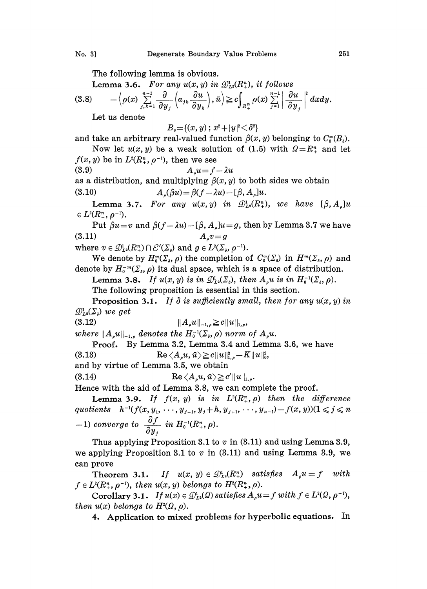The following lemma is obvious.

Lemma 3.6. For any  $u(x, y)$  in  $\mathcal{D}_{L^2}^1(R_+^n)$ , it follows

$$
(3.8) \qquad -\Big\langle \rho(x) \sum_{j,k=1}^{n-1} \frac{\partial}{\partial y_j} \Big( a_{jk} \frac{\partial u}{\partial y_k} \Big), \bar{u} \Big\rangle \geq c \int_{R_+^n} \rho(x) \sum_{j=1}^{n-1} \left| \frac{\partial u}{\partial y_j} \right|^2 dx dy.
$$

Let us denote

 $B_{\delta} = \{(x, y); x^2 + |y|^2 < \delta^2\}$ 

and take an arbitrary real-valued function  $\beta(x, y)$  belonging to  $C_0^{\infty}(B_n)$ . Now let  $u(x, y)$  be a weak solution of (1.5) with  $\Omega = R^n_+$  and let

 $f(x, y)$  be in  $L^2(R_+^n, \rho^{-1})$ , then we see

$$
(3.9) \quad A_{\rho}u = f - \lambda u
$$

as a distribution, and multiplying  $\beta(x, y)$  to both sides we obtain

(3.10)  $A_o(\beta u) = \beta(f - \lambda u) - [\beta, A_o]u.$ 

Lemma 3.7. For any  $u(x, y)$  in  $\mathcal{D}_{L^2}^1(R_+^n)$ , we have  $[\beta, A_{\alpha}]u$  $\in L^2(R^n_*,\rho^{-1}).$ 

Put  $\beta u=v$  and  $\beta(f-\lambda u)-[\beta, A_u]u=g$ , then by Lemma 3.7 we have (3.11)  $A_v v = g$ (3.11)  $A_{\rho}v = g$ <br>where  $v \in \mathcal{D}_{L^2}^1(R_{+}^n) \cap \mathcal{E}'(\Sigma_{\delta})$  and  $g \in L^2(\Sigma_{\delta})$ <br>We denote by  $H^m(\Sigma_{\delta})$  the semple

We denote by  $H_0^m(\Sigma_s, \rho)$  the completion of  $C_0^{\infty}(\Sigma_s)$  in  $H^m(\Sigma_s, \rho)$  and denote by  $H_0^{\infty}(\Sigma_s, \rho)$  its dual space, which is a space of distribution.

Lemma 3.8. If 
$$
u(x, y)
$$
 is in  $\mathcal{D}_{L^2}(\Sigma_s)$ , then  $A_s u$  is in  $H_0^{-1}(\Sigma_s, \rho)$ .

The following proposition is essential in this section.

**Proposition 3.1.** If  $\delta$  is sufficiently small, then for any  $u(x, y)$  in  $\mathcal{D}_{L2}^1(\Sigma)$  we get

(3.12) ]]A,u[]\_,,

where  $||A_{\rho}u||_{-1,\rho}$  denotes the  $H_0^{-1}(\Sigma_s, \rho)$  norm of  $A_{\rho}u$ .

Proof. By Lemma 3.2, Lemma 3.4 and Lemma 3.6, we have (3.13)  $\text{Re} \langle A_{\rho} u, \bar{u} \rangle \geq c \| u \|_{1,\rho}^2 - K \| u \|_{0}^2,$ and by virtue of Lemma 3.5, we obtain

(3.14) 
$$
\operatorname{Re} \langle A_{\rho} u, \bar{u} \rangle \geq c' \| u \|_{1,\rho}.
$$

Hence with the aid of Lemma 3.8, we can complete the proof.

Lemma 3.9. If  $f(x, y)$  is in  $L^2(R^n_+, \rho)$  then the difference quotients  $h^{-1}(f(x, y_1, \dots, y_{j-1}, y_j+h, y_{j+1}, \dots, y_{n-1})-f(x, y))(1 \leqslant j \leqslant n$  $(-1)$  converge to  $\frac{\partial f}{\partial y_i}$  in  $H_0^{-1}(R_+^n, \rho)$ .

Thus applying Proposition 3.1 to  $v$  in (3.11) and using Lemma 3.9, we applying Proposition 3.1 to  $v$  in (3.11) and using Lemma 3.9, we can prove

**Theorem 3.1.** If  $u(x, y) \in \mathcal{D}_{L^2}^1(R_+^n)$  satisfies  $A_{\rho}u = f$  with  $f \in L^2(R^n_*, \rho^{-1}),$  then  $u(x, y)$  belongs to  $H^2(R^n_*, \rho)$ .

Corollary 3.1. If  $u(x) \in \mathcal{D}_{1,2}^1(\Omega)$  satisfies  $A_{\rho}u=f$  with  $f \in L^2(\Omega, \rho^{-1}),$ then  $u(x)$  belongs to  $H^2(\Omega, \rho)$ .

4. Application to mixed problems for hyperbolic equations. In